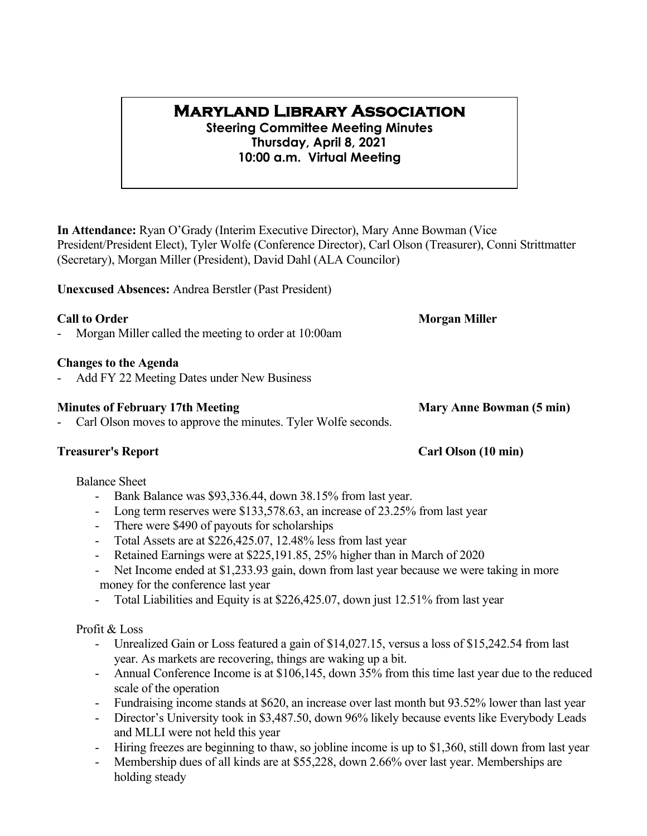# **Maryland Library Association**

**Steering Committee Meeting Minutes Thursday, April 8, 2021 10:00 a.m. Virtual Meeting**

**In Attendance:** Ryan O'Grady (Interim Executive Director), Mary Anne Bowman (Vice President/President Elect), Tyler Wolfe (Conference Director), Carl Olson (Treasurer), Conni Strittmatter (Secretary), Morgan Miller (President), David Dahl (ALA Councilor)

**Unexcused Absences:** Andrea Berstler (Past President)

**Call to Order Morgan Miller** 

Morgan Miller called the meeting to order at 10:00am

### **Changes to the Agenda**

Add FY 22 Meeting Dates under New Business

### **Minutes of February 17th Meeting <b>Mary Anne Bowman** (5 min)

Carl Olson moves to approve the minutes. Tyler Wolfe seconds.

### Balance Sheet

- Bank Balance was \$93,336.44, down 38.15% from last year.
- Long term reserves were \$133,578.63, an increase of 23.25% from last year
- There were \$490 of payouts for scholarships
- Total Assets are at \$226,425.07, 12.48% less from last year
- Retained Earnings were at \$225,191.85, 25% higher than in March of 2020
- Net Income ended at \$1,233.93 gain, down from last year because we were taking in more money for the conference last year
- Total Liabilities and Equity is at \$226,425.07, down just 12.51% from last year

### Profit & Loss

- Unrealized Gain or Loss featured a gain of \$14,027.15, versus a loss of \$15,242.54 from last year. As markets are recovering, things are waking up a bit.
- Annual Conference Income is at \$106,145, down 35% from this time last year due to the reduced scale of the operation
- Fundraising income stands at \$620, an increase over last month but 93.52% lower than last year
- Director's University took in \$3,487.50, down 96% likely because events like Everybody Leads and MLLI were not held this year
- Hiring freezes are beginning to thaw, so jobline income is up to \$1,360, still down from last year
- Membership dues of all kinds are at \$55,228, down 2.66% over last year. Memberships are holding steady

# **Treasurer's Report Carl Olson (10 min)**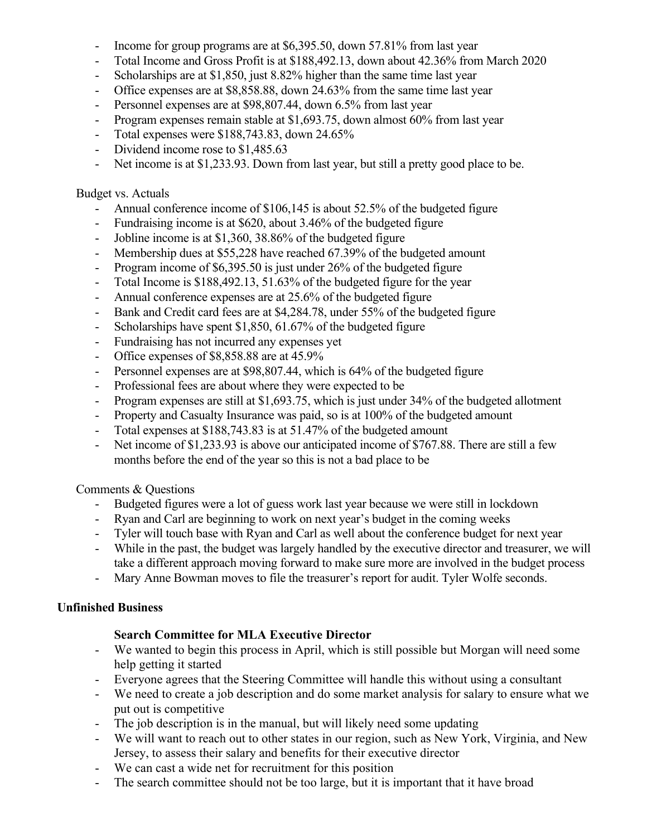- Income for group programs are at \$6,395.50, down 57.81% from last year
- Total Income and Gross Profit is at \$188,492.13, down about 42.36% from March 2020
- Scholarships are at \$1,850, just 8.82% higher than the same time last year
- Office expenses are at \$8,858.88, down 24.63% from the same time last year
- Personnel expenses are at \$98,807.44, down 6.5% from last year
- Program expenses remain stable at \$1,693.75, down almost 60% from last year
- Total expenses were \$188,743.83, down 24.65%
- Dividend income rose to \$1,485.63
- Net income is at \$1,233.93. Down from last year, but still a pretty good place to be.

### Budget vs. Actuals

- Annual conference income of \$106,145 is about 52.5% of the budgeted figure
- Fundraising income is at \$620, about 3.46% of the budgeted figure
- Jobline income is at \$1,360, 38.86% of the budgeted figure
- Membership dues at \$55,228 have reached 67.39% of the budgeted amount
- Program income of \$6,395.50 is just under 26% of the budgeted figure
- Total Income is \$188,492.13, 51.63% of the budgeted figure for the year
- Annual conference expenses are at 25.6% of the budgeted figure
- Bank and Credit card fees are at \$4,284.78, under 55% of the budgeted figure
- Scholarships have spent \$1,850, 61.67% of the budgeted figure
- Fundraising has not incurred any expenses yet
- Office expenses of \$8,858.88 are at 45.9%
- Personnel expenses are at \$98,807.44, which is 64% of the budgeted figure
- Professional fees are about where they were expected to be
- Program expenses are still at \$1,693.75, which is just under 34% of the budgeted allotment
- Property and Casualty Insurance was paid, so is at 100% of the budgeted amount
- Total expenses at \$188,743.83 is at 51.47% of the budgeted amount
- Net income of \$1,233.93 is above our anticipated income of \$767.88. There are still a few months before the end of the year so this is not a bad place to be

### Comments & Questions

- Budgeted figures were a lot of guess work last year because we were still in lockdown
- Ryan and Carl are beginning to work on next year's budget in the coming weeks
- Tyler will touch base with Ryan and Carl as well about the conference budget for next year
- While in the past, the budget was largely handled by the executive director and treasurer, we will take a different approach moving forward to make sure more are involved in the budget process
- Mary Anne Bowman moves to file the treasurer's report for audit. Tyler Wolfe seconds.

# **Unfinished Business**

# **Search Committee for MLA Executive Director**

- We wanted to begin this process in April, which is still possible but Morgan will need some help getting it started
- Everyone agrees that the Steering Committee will handle this without using a consultant
- We need to create a job description and do some market analysis for salary to ensure what we put out is competitive
- The job description is in the manual, but will likely need some updating
- We will want to reach out to other states in our region, such as New York, Virginia, and New Jersey, to assess their salary and benefits for their executive director
- We can cast a wide net for recruitment for this position
- The search committee should not be too large, but it is important that it have broad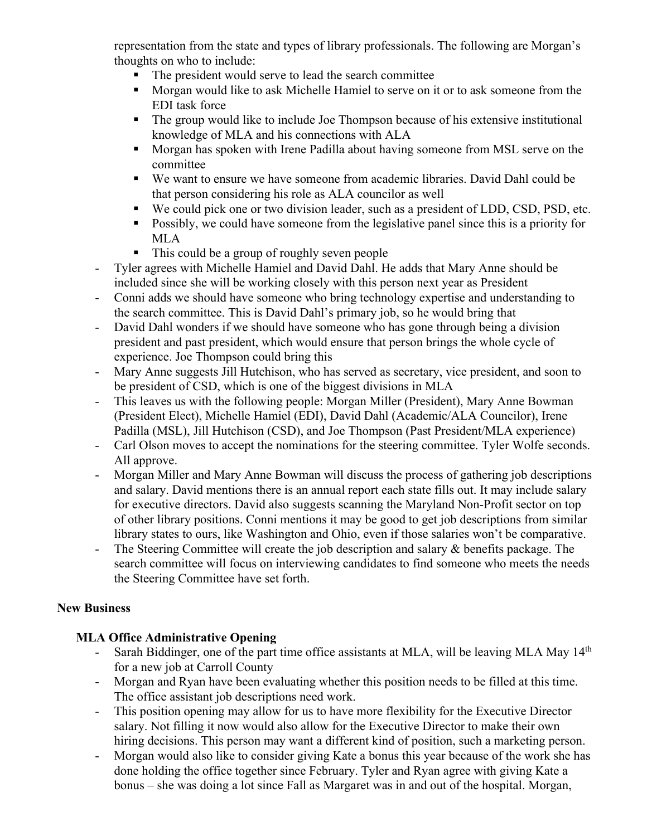representation from the state and types of library professionals. The following are Morgan's thoughts on who to include:

- The president would serve to lead the search committee
- **Morgan would like to ask Michelle Hamiel to serve on it or to ask someone from the** EDI task force
- The group would like to include Joe Thompson because of his extensive institutional knowledge of MLA and his connections with ALA
- **Morgan has spoken with Irene Padilla about having someone from MSL serve on the** committee
- We want to ensure we have someone from academic libraries. David Dahl could be that person considering his role as ALA councilor as well
- We could pick one or two division leader, such as a president of LDD, CSD, PSD, etc.
- **Possibly, we could have someone from the legislative panel since this is a priority for** MLA
- This could be a group of roughly seven people
- Tyler agrees with Michelle Hamiel and David Dahl. He adds that Mary Anne should be included since she will be working closely with this person next year as President
- Conni adds we should have someone who bring technology expertise and understanding to the search committee. This is David Dahl's primary job, so he would bring that
- David Dahl wonders if we should have someone who has gone through being a division president and past president, which would ensure that person brings the whole cycle of experience. Joe Thompson could bring this
- Mary Anne suggests Jill Hutchison, who has served as secretary, vice president, and soon to be president of CSD, which is one of the biggest divisions in MLA
- This leaves us with the following people: Morgan Miller (President), Mary Anne Bowman (President Elect), Michelle Hamiel (EDI), David Dahl (Academic/ALA Councilor), Irene Padilla (MSL), Jill Hutchison (CSD), and Joe Thompson (Past President/MLA experience)
- Carl Olson moves to accept the nominations for the steering committee. Tyler Wolfe seconds. All approve.
- Morgan Miller and Mary Anne Bowman will discuss the process of gathering job descriptions and salary. David mentions there is an annual report each state fills out. It may include salary for executive directors. David also suggests scanning the Maryland Non-Profit sector on top of other library positions. Conni mentions it may be good to get job descriptions from similar library states to ours, like Washington and Ohio, even if those salaries won't be comparative.
- The Steering Committee will create the job description and salary & benefits package. The search committee will focus on interviewing candidates to find someone who meets the needs the Steering Committee have set forth.

# **New Business**

# **MLA Office Administrative Opening**

- Sarah Biddinger, one of the part time office assistants at MLA, will be leaving MLA May  $14<sup>th</sup>$ for a new job at Carroll County
- Morgan and Ryan have been evaluating whether this position needs to be filled at this time. The office assistant job descriptions need work.
- This position opening may allow for us to have more flexibility for the Executive Director salary. Not filling it now would also allow for the Executive Director to make their own hiring decisions. This person may want a different kind of position, such a marketing person.
- Morgan would also like to consider giving Kate a bonus this year because of the work she has done holding the office together since February. Tyler and Ryan agree with giving Kate a bonus – she was doing a lot since Fall as Margaret was in and out of the hospital. Morgan,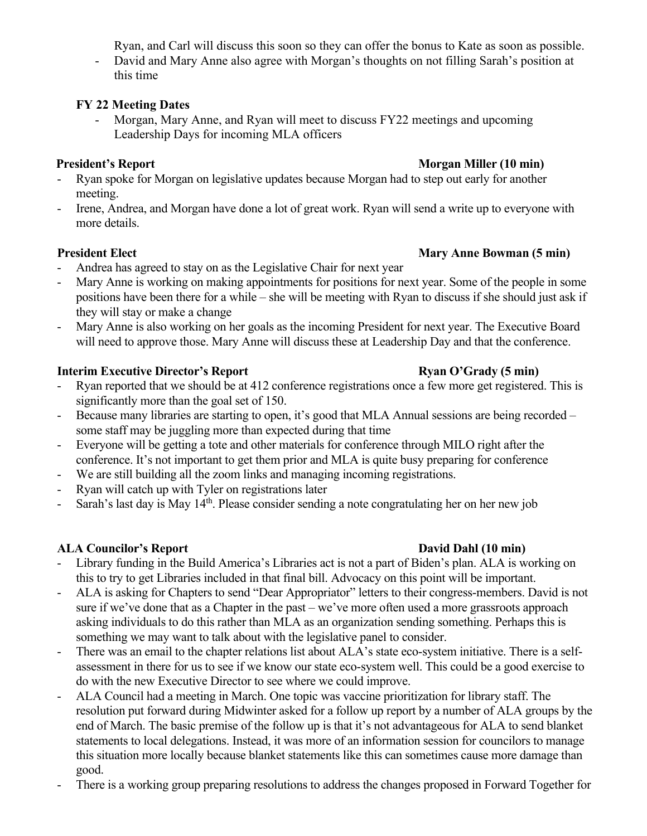Ryan, and Carl will discuss this soon so they can offer the bonus to Kate as soon as possible.

- David and Mary Anne also agree with Morgan's thoughts on not filling Sarah's position at this time

# **FY 22 Meeting Dates**

- Morgan, Mary Anne, and Ryan will meet to discuss FY22 meetings and upcoming Leadership Days for incoming MLA officers

- Ryan spoke for Morgan on legislative updates because Morgan had to step out early for another meeting.
- Irene, Andrea, and Morgan have done a lot of great work. Ryan will send a write up to everyone with more details.

# **President Elect Mary Anne Bowman (5 min)**

- Andrea has agreed to stay on as the Legislative Chair for next year
- Mary Anne is working on making appointments for positions for next year. Some of the people in some positions have been there for a while – she will be meeting with Ryan to discuss if she should just ask if they will stay or make a change
- Mary Anne is also working on her goals as the incoming President for next year. The Executive Board will need to approve those. Mary Anne will discuss these at Leadership Day and that the conference.

# **Interim Executive Director's Report Ryan O'Grady (5 min)**

- Ryan reported that we should be at 412 conference registrations once a few more get registered. This is significantly more than the goal set of 150.
- Because many libraries are starting to open, it's good that MLA Annual sessions are being recorded some staff may be juggling more than expected during that time
- Everyone will be getting a tote and other materials for conference through MILO right after the conference. It's not important to get them prior and MLA is quite busy preparing for conference
- We are still building all the zoom links and managing incoming registrations.
- Ryan will catch up with Tyler on registrations later
- Sarah's last day is May 14<sup>th</sup>. Please consider sending a note congratulating her on her new job

# **ALA Councilor's Report David Dahl (10 min)**

- Library funding in the Build America's Libraries act is not a part of Biden's plan. ALA is working on this to try to get Libraries included in that final bill. Advocacy on this point will be important.
- ALA is asking for Chapters to send "Dear Appropriator" letters to their congress-members. David is not sure if we've done that as a Chapter in the past – we've more often used a more grassroots approach asking individuals to do this rather than MLA as an organization sending something. Perhaps this is something we may want to talk about with the legislative panel to consider.
- There was an email to the chapter relations list about ALA's state eco-system initiative. There is a selfassessment in there for us to see if we know our state eco-system well. This could be a good exercise to do with the new Executive Director to see where we could improve.
- ALA Council had a meeting in March. One topic was vaccine prioritization for library staff. The resolution put forward during Midwinter asked for a follow up report by a number of ALA groups by the end of March. The basic premise of the follow up is that it's not advantageous for ALA to send blanket statements to local delegations. Instead, it was more of an information session for councilors to manage this situation more locally because blanket statements like this can sometimes cause more damage than good.
- There is a working group preparing resolutions to address the changes proposed in Forward Together for

# **President's Report Morgan Miller (10 min)**